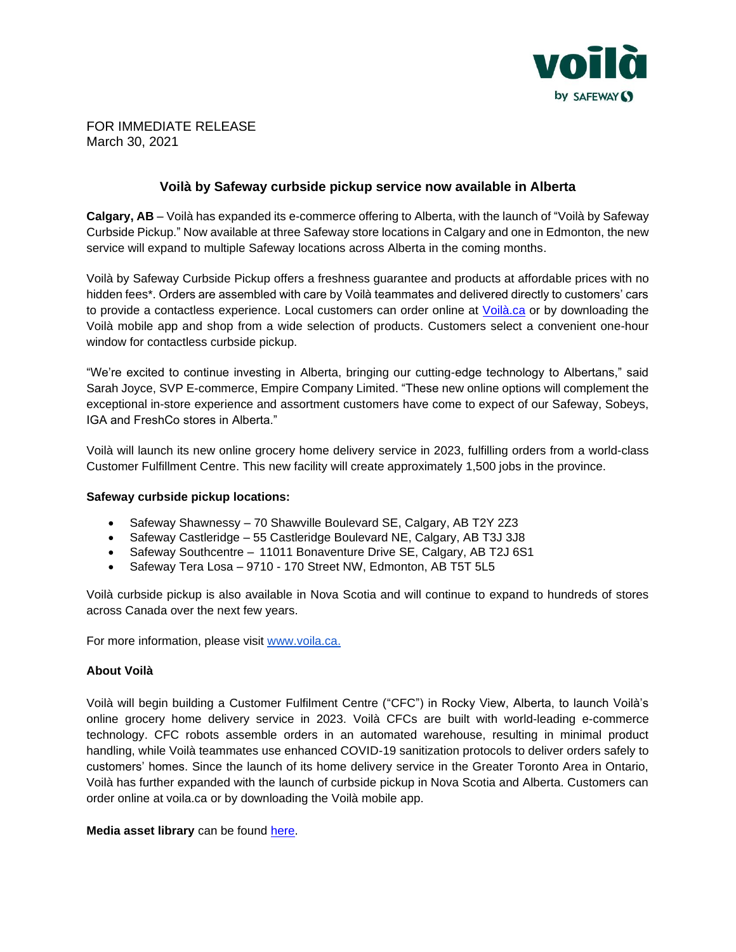

FOR IMMEDIATE RELEASE March 30, 2021

## **Voilà by Safeway curbside pickup service now available in Alberta**

**Calgary, AB** – Voilà has expanded its e-commerce offering to Alberta, with the launch of "Voilà by Safeway Curbside Pickup." Now available at three Safeway store locations in Calgary and one in Edmonton, the new service will expand to multiple Safeway locations across Alberta in the coming months.

Voilà by Safeway Curbside Pickup offers a freshness guarantee and products at affordable prices with no hidden fees\*. Orders are assembled with care by Voilà teammates and delivered directly to customers' cars to provide a contactless experience. Local customers can order online at [Voilà.ca](https://voila.ca/content/terms-and-conditions) or by downloading the Voilà mobile app and shop from a wide selection of products. Customers select a convenient one-hour window for contactless curbside pickup.

"We're excited to continue investing in Alberta, bringing our cutting-edge technology to Albertans," said Sarah Joyce, SVP E-commerce, Empire Company Limited. "These new online options will complement the exceptional in-store experience and assortment customers have come to expect of our Safeway, Sobeys, IGA and FreshCo stores in Alberta."

Voilà will launch its new online grocery home delivery service in 2023, fulfilling orders from a world-class Customer Fulfillment Centre. This new facility will create approximately 1,500 jobs in the province.

## **Safeway curbside pickup locations:**

- Safeway Shawnessy 70 Shawville Boulevard SE, Calgary, AB T2Y 2Z3
- Safeway Castleridge 55 Castleridge Boulevard NE, Calgary, AB T3J 3J8
- Safeway Southcentre 11011 Bonaventure Drive SE, Calgary, AB T2J 6S1
- Safeway Tera Losa 9710 170 Street NW, Edmonton, AB T5T 5L5

Voilà curbside pickup is also available in Nova Scotia and will continue to expand to hundreds of stores across Canada over the next few years.

For more information, please visit [www.voila.ca.](http://www.voila.ca/)

## **About Voilà**

Voilà will begin building a Customer Fulfilment Centre ("CFC") in Rocky View, Alberta, to launch Voilà's online grocery home delivery service in 2023. Voilà CFCs are built with world-leading e-commerce technology. CFC robots assemble orders in an automated warehouse, resulting in minimal product handling, while Voilà teammates use enhanced COVID-19 sanitization protocols to deliver orders safely to customers' homes. Since the launch of its home delivery service in the Greater Toronto Area in Ontario, Voilà has further expanded with the launch of curbside pickup in Nova Scotia and Alberta. Customers can order online at voila.ca or by downloading the Voilà mobile app.

**Media asset library** can be found [here.](https://corporate.sobeys.com/media-centre/multi-media-assets/)